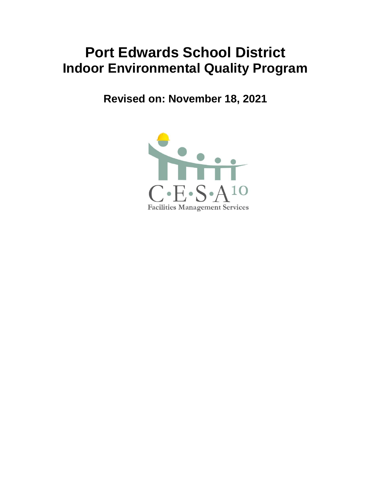# **Port Edwards School District Indoor Environmental Quality Program**

**Revised on: November 18, 2021**

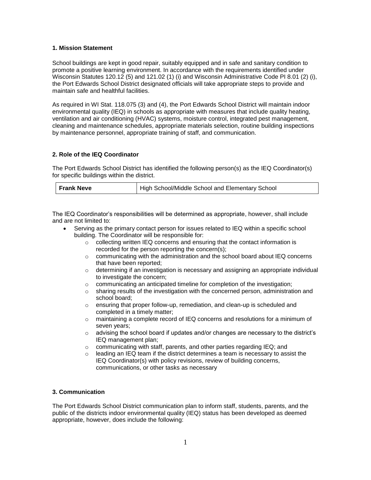#### **1. Mission Statement**

School buildings are kept in good repair, suitably equipped and in safe and sanitary condition to promote a positive learning environment. In accordance with the requirements identified under Wisconsin Statutes 120.12 (5) and 121.02 (1) (i) and Wisconsin Administrative Code PI 8.01 (2) (i), the Port Edwards School District designated officials will take appropriate steps to provide and maintain safe and healthful facilities.

As required in WI Stat. 118.075 (3) and (4), the Port Edwards School District will maintain indoor environmental quality (IEQ) in schools as appropriate with measures that include quality heating, ventilation and air conditioning (HVAC) systems, moisture control, integrated pest management, cleaning and maintenance schedules, appropriate materials selection, routine building inspections by maintenance personnel, appropriate training of staff, and communication.

## **2. Role of the IEQ Coordinator**

The Port Edwards School District has identified the following person(s) as the IEQ Coordinator(s) for specific buildings within the district.

| Frank Neve | High School/Middle School and Elementary School |
|------------|-------------------------------------------------|
|            |                                                 |

The IEQ Coordinator's responsibilities will be determined as appropriate, however, shall include and are not limited to:

- Serving as the primary contact person for issues related to IEQ within a specific school building. The Coordinator will be responsible for:
	- o collecting written IEQ concerns and ensuring that the contact information is recorded for the person reporting the concern(s);
	- o communicating with the administration and the school board about IEQ concerns that have been reported;
	- $\circ$  determining if an investigation is necessary and assigning an appropriate individual to investigate the concern;
	- o communicating an anticipated timeline for completion of the investigation;
	- $\circ$  sharing results of the investigation with the concerned person, administration and school board;
	- $\circ$  ensuring that proper follow-up, remediation, and clean-up is scheduled and completed in a timely matter;
	- $\circ$  maintaining a complete record of IEQ concerns and resolutions for a minimum of seven years;
	- $\circ$  advising the school board if updates and/or changes are necessary to the district's IEQ management plan;
	- o communicating with staff, parents, and other parties regarding IEQ; and
	- $\circ$  leading an IEQ team if the district determines a team is necessary to assist the IEQ Coordinator(s) with policy revisions, review of building concerns, communications, or other tasks as necessary

### **3. Communication**

The Port Edwards School District communication plan to inform staff, students, parents, and the public of the districts indoor environmental quality (IEQ) status has been developed as deemed appropriate, however, does include the following: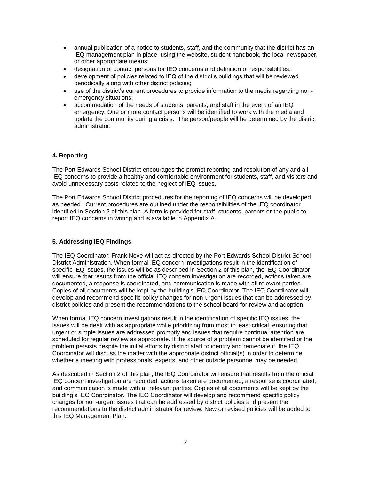- annual publication of a notice to students, staff, and the community that the district has an IEQ management plan in place, using the website, student handbook, the local newspaper, or other appropriate means;
- designation of contact persons for IEQ concerns and definition of responsibilities;
- development of policies related to IEQ of the district's buildings that will be reviewed periodically along with other district policies;
- use of the district's current procedures to provide information to the media regarding nonemergency situations;
- accommodation of the needs of students, parents, and staff in the event of an IEQ emergency. One or more contact persons will be identified to work with the media and update the community during a crisis. The person/people will be determined by the district administrator.

### **4. Reporting**

The Port Edwards School District encourages the prompt reporting and resolution of any and all IEQ concerns to provide a healthy and comfortable environment for students, staff, and visitors and avoid unnecessary costs related to the neglect of IEQ issues.

The Port Edwards School District procedures for the reporting of IEQ concerns will be developed as needed. Current procedures are outlined under the responsibilities of the IEQ coordinator identified in Section 2 of this plan. A form is provided for staff, students, parents or the public to report IEQ concerns in writing and is available in Appendix A.

### **5. Addressing IEQ Findings**

The IEQ Coordinator: Frank Neve will act as directed by the Port Edwards School District School District Administration. When formal IEQ concern investigations result in the identification of specific IEQ issues, the issues will be as described in Section 2 of this plan, the IEQ Coordinator will ensure that results from the official IEQ concern investigation are recorded, actions taken are documented, a response is coordinated, and communication is made with all relevant parties. Copies of all documents will be kept by the building's IEQ Coordinator. The IEQ Coordinator will develop and recommend specific policy changes for non-urgent issues that can be addressed by district policies and present the recommendations to the school board for review and adoption.

When formal IEQ concern investigations result in the identification of specific IEQ issues, the issues will be dealt with as appropriate while prioritizing from most to least critical, ensuring that urgent or simple issues are addressed promptly and issues that require continual attention are scheduled for regular review as appropriate. If the source of a problem cannot be identified or the problem persists despite the initial efforts by district staff to identify and remediate it, the IEQ Coordinator will discuss the matter with the appropriate district official(s) in order to determine whether a meeting with professionals, experts, and other outside personnel may be needed.

As described in Section 2 of this plan, the IEQ Coordinator will ensure that results from the official IEQ concern investigation are recorded, actions taken are documented, a response is coordinated, and communication is made with all relevant parties. Copies of all documents will be kept by the building's IEQ Coordinator. The IEQ Coordinator will develop and recommend specific policy changes for non-urgent issues that can be addressed by district policies and present the recommendations to the district administrator for review. New or revised policies will be added to this IEQ Management Plan.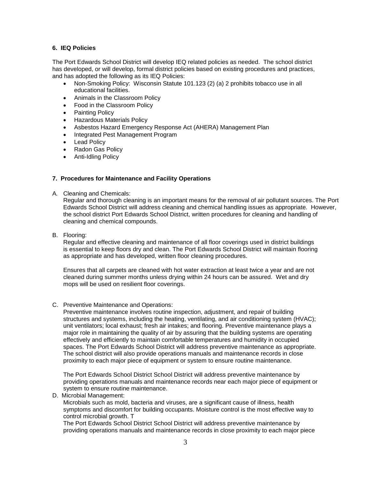### **6. IEQ Policies**

The Port Edwards School District will develop IEQ related policies as needed. The school district has developed, or will develop, formal district policies based on existing procedures and practices, and has adopted the following as its IEQ Policies:

- Non-Smoking Policy: Wisconsin Statute 101.123 (2) (a) 2 prohibits tobacco use in all educational facilities.
- Animals in the Classroom Policy
- Food in the Classroom Policy
- Painting Policy
- Hazardous Materials Policy
- Asbestos Hazard Emergency Response Act (AHERA) Management Plan
- Integrated Pest Management Program
- **Lead Policy**
- Radon Gas Policy
- Anti-Idling Policy

#### **7. Procedures for Maintenance and Facility Operations**

A*.* Cleaning and Chemicals:

Regular and thorough cleaning is an important means for the removal of air pollutant sources. The Port Edwards School District will address cleaning and chemical handling issues as appropriate. However, the school district Port Edwards School District, written procedures for cleaning and handling of cleaning and chemical compounds.

B. Flooring:

Regular and effective cleaning and maintenance of all floor coverings used in district buildings is essential to keep floors dry and clean. The Port Edwards School District will maintain flooring as appropriate and has developed, written floor cleaning procedures.

Ensures that all carpets are cleaned with hot water extraction at least twice a year and are not cleaned during summer months unless drying within 24 hours can be assured. Wet and dry mops will be used on resilient floor coverings.

C. Preventive Maintenance and Operations:

Preventive maintenance involves routine inspection, adjustment, and repair of building structures and systems, including the heating, ventilating, and air conditioning system (HVAC); unit ventilators; local exhaust; fresh air intakes; and flooring. Preventive maintenance plays a major role in maintaining the quality of air by assuring that the building systems are operating effectively and efficiently to maintain comfortable temperatures and humidity in occupied spaces. The Port Edwards School District will address preventive maintenance as appropriate. The school district will also provide operations manuals and maintenance records in close proximity to each major piece of equipment or system to ensure routine maintenance.

The Port Edwards School District School District will address preventive maintenance by providing operations manuals and maintenance records near each major piece of equipment or system to ensure routine maintenance.

D. Microbial Management:

Microbials such as mold, bacteria and viruses, are a significant cause of illness, health symptoms and discomfort for building occupants. Moisture control is the most effective way to control microbial growth. T

The Port Edwards School District School District will address preventive maintenance by providing operations manuals and maintenance records in close proximity to each major piece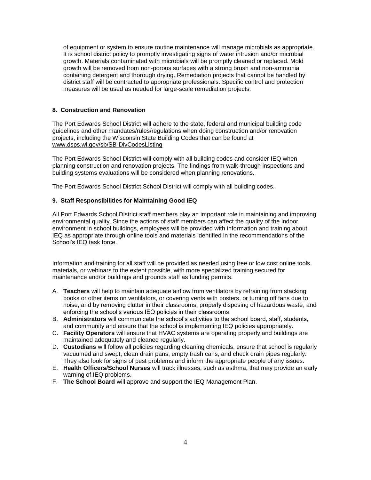of equipment or system to ensure routine maintenance will manage microbials as appropriate. It is school district policy to promptly investigating signs of water intrusion and/or microbial growth. Materials contaminated with microbials will be promptly cleaned or replaced. Mold growth will be removed from non-porous surfaces with a strong brush and non-ammonia containing detergent and thorough drying. Remediation projects that cannot be handled by district staff will be contracted to appropriate professionals. Specific control and protection measures will be used as needed for large-scale remediation projects.

## **8. Construction and Renovation**

The Port Edwards School District will adhere to the state, federal and municipal building code guidelines and other mandates/rules/regulations when doing construction and/or renovation projects, including the Wisconsin State Building Codes that can be found at [www.dsps.wi.gov/sb/SB-DivCodesListing](http://www.dsps.wi.gov/sb/SB-DivCodesListing.html)

The Port Edwards School District will comply with all building codes and consider IEQ when planning construction and renovation projects. The findings from walk-through inspections and building systems evaluations will be considered when planning renovations.

The Port Edwards School District School District will comply with all building codes.

# **9. Staff Responsibilities for Maintaining Good IEQ**

All Port Edwards School District staff members play an important role in maintaining and improving environmental quality. Since the actions of staff members can affect the quality of the indoor environment in school buildings, employees will be provided with information and training about IEQ as appropriate through online tools and materials identified in the recommendations of the School's [IEQ task force.](http://dpi.wi.gov/sms/pdf/ieq_final_report_2011_02_24.pdf)

Information and training for all staff will be provided as needed using free or low cost online tools, materials, or webinars to the extent possible, with more specialized training secured for maintenance and/or buildings and grounds staff as funding permits.

- A. **Teachers** will help to maintain adequate airflow from ventilators by refraining from stacking books or other items on ventilators, or covering vents with posters, or turning off fans due to noise, and by removing clutter in their classrooms, properly disposing of hazardous waste, and enforcing the school's various IEQ policies in their classrooms.
- B. **Administrators** will communicate the school's activities to the school board, staff, students, and community and ensure that the school is implementing IEQ policies appropriately.
- C. **Facility Operators** will ensure that HVAC systems are operating properly and buildings are maintained adequately and cleaned regularly.
- D. **Custodians** will follow all policies regarding cleaning chemicals, ensure that school is regularly vacuumed and swept, clean drain pans, empty trash cans, and check drain pipes regularly. They also look for signs of pest problems and inform the appropriate people of any issues.
- E. **Health Officers/School Nurses** will track illnesses, such as asthma, that may provide an early warning of IEQ problems.
- F. **The School Board** will approve and support the IEQ Management Plan.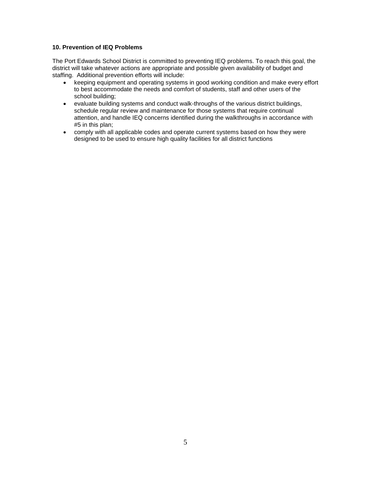### **10. Prevention of IEQ Problems**

The Port Edwards School District is committed to preventing IEQ problems. To reach this goal, the district will take whatever actions are appropriate and possible given availability of budget and staffing. Additional prevention efforts will include:

- keeping equipment and operating systems in good working condition and make every effort to best accommodate the needs and comfort of students, staff and other users of the school building;
- evaluate building systems and conduct walk-throughs of the various district buildings, schedule regular review and maintenance for those systems that require continual attention, and handle IEQ concerns identified during the walkthroughs in accordance with #5 in this plan;
- comply with all applicable codes and operate current systems based on how they were designed to be used to ensure high quality facilities for all district functions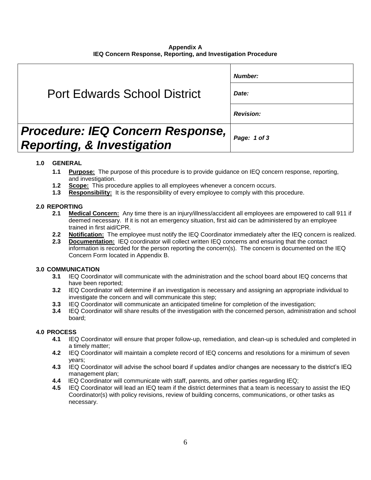**Appendix A IEQ Concern Response, Reporting, and Investigation Procedure**

| <b>Port Edwards School District</b>                                              | Number:<br>Date:<br><b>Revision:</b> |
|----------------------------------------------------------------------------------|--------------------------------------|
| <b>Procedure: IEQ Concern Response,</b><br><b>Reporting, &amp; Investigation</b> | Page: 1 of 3                         |

# **1.0 GENERAL**

- **1.1 Purpose:** The purpose of this procedure is to provide guidance on IEQ concern response, reporting, and investigation.
- **1.2 Scope:** This procedure applies to all employees whenever a concern occurs.
- **1.3 Responsibility:** It is the responsibility of every employee to comply with this procedure.

# **2.0 REPORTING**

- **2.1 Medical Concern:** Any time there is an injury/illness/accident all employees are empowered to call 911 if deemed necessary. If it is not an emergency situation, first aid can be administered by an employee trained in first aid/CPR.
- **2.2 Notification:** The employee must notify the IEQ Coordinator immediately after the IEQ concern is realized.
- **2.3 Documentation:** IEQ coordinator will collect written IEQ concerns and ensuring that the contact information is recorded for the person reporting the concern(s). The concern is documented on the IEQ Concern Form located in Appendix B.

# **3.0 COMMUNICATION**

- **3.1** IEQ Coordinator will communicate with the administration and the school board about IEQ concerns that have been reported;
- **3.2** IEQ Coordinator will determine if an investigation is necessary and assigning an appropriate individual to investigate the concern and will communicate this step;
- **3.3** IEQ Coordinator will communicate an anticipated timeline for completion of the investigation;
- **3.4** IEQ Coordinator will share results of the investigation with the concerned person, administration and school board;

# **4.0 PROCESS**

- **4.1** IEQ Coordinator will ensure that proper follow-up, remediation, and clean-up is scheduled and completed in a timely matter;
- **4.2** IEQ Coordinator will maintain a complete record of IEQ concerns and resolutions for a minimum of seven years;
- **4.3** IEQ Coordinator will advise the school board if updates and/or changes are necessary to the district's IEQ management plan;
- **4.4** IEQ Coordinator will communicate with staff, parents, and other parties regarding IEQ;
- **4.5** IEQ Coordinator will lead an IEQ team if the district determines that a team is necessary to assist the IEQ Coordinator(s) with policy revisions, review of building concerns, communications, or other tasks as necessary.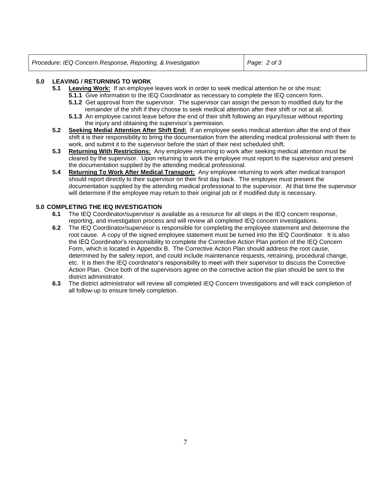*Procedure: IEQ Concern Response, Reporting, & Investigation Page: 2 of 3*

# **5.0 LEAVING / RETURNING TO WORK**

- **5.1 Leaving Work:** If an employee leaves work in order to seek medical attention he or she must:
	- **5.1.1** Give information to the IEQ Coordinator as necessary to complete the IEQ concern form. **5.1.2** Get approval from the supervisor. The supervisor can assign the person to modified duty for the
	- remainder of the shift if they choose to seek medical attention after their shift or not at all.
	- **5.1.3** An employee cannot leave before the end of their shift following an injury/issue without reporting the injury and obtaining the supervisor's permission.
- **5.2 Seeking Medial Attention After Shift End:** If an employee seeks medical attention after the end of their shift it is their responsibility to bring the documentation from the attending medical professional with them to work, and submit it to the supervisor before the start of their next scheduled shift.
- **5.3 Returning With Restrictions:** Any employee returning to work after seeking medical attention must be cleared by the supervisor. Upon returning to work the employee must report to the supervisor and present the documentation supplied by the attending medical professional.
- **5.4 Returning To Work After Medical Transport:** Any employee returning to work after medical transport should report directly to their supervisor on their first day back. The employee must present the documentation supplied by the attending medical professional to the supervisor. At that time the supervisor will determine if the employee may return to their original job or if modified duty is necessary.

# **5.0 COMPLETING THE IEQ INVESTIGATION**

- **6.1** The IEQ Coordinator/supervisor is available as a resource for all steps in the IEQ concern response, reporting, and investigation process and will review all completed IEQ concern investigations.
- **6.2** The IEQ Coordinator/supervisor is responsible for completing the employee statement and determine the root cause. A copy of the signed employee statement must be turned into the IEQ Coordinator. It is also the IEQ Coordinator's responsibility to complete the Corrective Action Plan portion of the IEQ Concern Form, which is located in Appendix B. The Corrective Action Plan should address the root cause, determined by the safety report, and could include maintenance requests, retraining, procedural change, etc. It is then the IEQ coordinator's responsibility to meet with their supervisor to discuss the Corrective Action Plan. Once both of the supervisors agree on the corrective action the plan should be sent to the district administrator.
- **6.3** The district administrator will review all completed IEQ Concern Investigations and will track completion of all follow-up to ensure timely completion.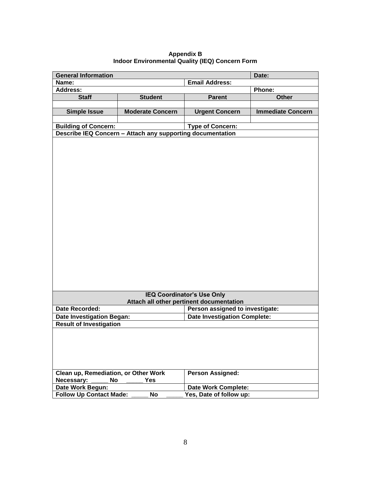| <b>Appendix B</b>                               |  |  |  |  |  |
|-------------------------------------------------|--|--|--|--|--|
| Indoor Environmental Quality (IEQ) Concern Form |  |  |  |  |  |

| <b>General Information</b>                                                   |                                                            |                                          | Date:                    |
|------------------------------------------------------------------------------|------------------------------------------------------------|------------------------------------------|--------------------------|
| Name:                                                                        |                                                            | <b>Email Address:</b>                    |                          |
| <b>Address:</b>                                                              |                                                            |                                          | Phone:                   |
| <b>Staff</b>                                                                 | <b>Student</b>                                             | <b>Parent</b>                            | <b>Other</b>             |
|                                                                              |                                                            |                                          |                          |
| <b>Simple Issue</b>                                                          | <b>Moderate Concern</b>                                    | <b>Urgent Concern</b>                    | <b>Immediate Concern</b> |
|                                                                              |                                                            |                                          |                          |
| <b>Building of Concern:</b>                                                  |                                                            | <b>Type of Concern:</b>                  |                          |
|                                                                              | Describe IEQ Concern - Attach any supporting documentation |                                          |                          |
|                                                                              |                                                            | <b>IEQ Coordinator's Use Only</b>        |                          |
|                                                                              |                                                            | Attach all other pertinent documentation |                          |
| <b>Date Recorded:</b>                                                        |                                                            | Person assigned to investigate:          |                          |
| <b>Date Investigation Began:</b>                                             |                                                            | <b>Date Investigation Complete:</b>      |                          |
| <b>Result of Investigation</b>                                               |                                                            |                                          |                          |
| Clean up, Remediation, or Other Work<br>Necessary:<br>No<br>Date Work Begun: | Yes                                                        | Person Assigned:<br>Date Work Complete:  |                          |
| <b>Follow Up Contact Made:</b><br>No                                         |                                                            | Yes, Date of follow up:                  |                          |